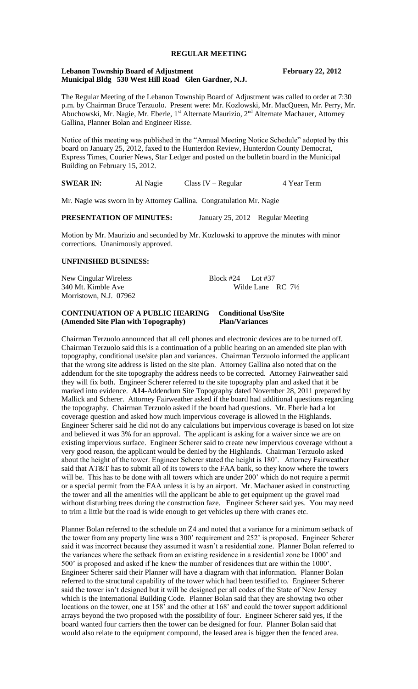# **REGULAR MEETING**

#### **Lebanon Township Board of Adjustment February 22, 2012 Municipal Bldg 530 West Hill Road Glen Gardner, N.J.**

The Regular Meeting of the Lebanon Township Board of Adjustment was called to order at 7:30 p.m. by Chairman Bruce Terzuolo. Present were: Mr. Kozlowski, Mr. MacQueen, Mr. Perry, Mr. Abuchowski, Mr. Nagie, Mr. Eberle, 1<sup>st</sup> Alternate Maurizio, 2<sup>nd</sup> Alternate Machauer, Attorney Gallina, Planner Bolan and Engineer Risse.

Notice of this meeting was published in the "Annual Meeting Notice Schedule" adopted by this board on January 25, 2012, faxed to the Hunterdon Review, Hunterdon County Democrat, Express Times, Courier News, Star Ledger and posted on the bulletin board in the Municipal Building on February 15, 2012.

**SWEAR IN:** Al Nagie Class IV – Regular 4 Year Term

Mr. Nagie was sworn in by Attorney Gallina. Congratulation Mr. Nagie

#### **PRESENTATION OF MINUTES:** January 25, 2012 Regular Meeting

Motion by Mr. Maurizio and seconded by Mr. Kozlowski to approve the minutes with minor corrections. Unanimously approved.

## **UNFINISHED BUSINESS:**

New Cingular Wireless Block #24 Lot #37 340 Mt. Kimble Ave Wilde Lane RC 7<sup>1</sup>/<sub>2</sub> Morristown, N.J. 07962

## **CONTINUATION OF A PUBLIC HEARING Conditional Use/Site (Amended Site Plan with Topography) Plan/Variances**

Chairman Terzuolo announced that all cell phones and electronic devices are to be turned off. Chairman Terzuolo said this is a continuation of a public hearing on an amended site plan with topography, conditional use/site plan and variances. Chairman Terzuolo informed the applicant that the wrong site address is listed on the site plan. Attorney Gallina also noted that on the addendum for the site topography the address needs to be corrected. Attorney Fairweather said they will fix both. Engineer Scherer referred to the site topography plan and asked that it be marked into evidence. **A14**-Addendum Site Topography dated November 28, 2011 prepared by Mallick and Scherer. Attorney Fairweather asked if the board had additional questions regarding the topography. Chairman Terzuolo asked if the board had questions. Mr. Eberle had a lot coverage question and asked how much impervious coverage is allowed in the Highlands. Engineer Scherer said he did not do any calculations but impervious coverage is based on lot size and believed it was 3% for an approval. The applicant is asking for a waiver since we are on existing impervious surface. Engineer Scherer said to create new impervious coverage without a very good reason, the applicant would be denied by the Highlands. Chairman Terzuolo asked about the height of the tower. Engineer Scherer stated the height is 180'. Attorney Fairweather said that AT&T has to submit all of its towers to the FAA bank, so they know where the towers will be. This has to be done with all towers which are under 200' which do not require a permit or a special permit from the FAA unless it is by an airport. Mr. Machauer asked in constructing the tower and all the amenities will the applicant be able to get equipment up the gravel road without disturbing trees during the construction faze. Engineer Scherer said yes. You may need to trim a little but the road is wide enough to get vehicles up there with cranes etc.

Planner Bolan referred to the schedule on Z4 and noted that a variance for a minimum setback of the tower from any property line was a 300' requirement and 252' is proposed. Engineer Scherer said it was incorrect because they assumed it wasn't a residential zone. Planner Bolan referred to the variances where the setback from an existing residence in a residential zone be 1000' and 500' is proposed and asked if he knew the number of residences that are within the 1000'. Engineer Scherer said their Planner will have a diagram with that information. Planner Bolan referred to the structural capability of the tower which had been testified to. Engineer Scherer said the tower isn't designed but it will be designed per all codes of the State of New Jersey which is the International Building Code. Planner Bolan said that they are showing two other locations on the tower, one at 158' and the other at 168' and could the tower support additional arrays beyond the two proposed with the possibility of four. Engineer Scherer said yes, if the board wanted four carriers then the tower can be designed for four. Planner Bolan said that would also relate to the equipment compound, the leased area is bigger then the fenced area.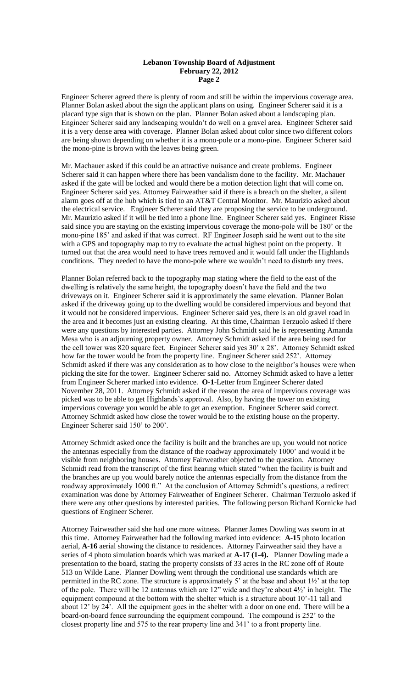#### **Lebanon Township Board of Adjustment February 22, 2012 Page 2**

Engineer Scherer agreed there is plenty of room and still be within the impervious coverage area. Planner Bolan asked about the sign the applicant plans on using. Engineer Scherer said it is a placard type sign that is shown on the plan. Planner Bolan asked about a landscaping plan. Engineer Scherer said any landscaping wouldn't do well on a gravel area. Engineer Scherer said it is a very dense area with coverage. Planner Bolan asked about color since two different colors are being shown depending on whether it is a mono-pole or a mono-pine. Engineer Scherer said the mono-pine is brown with the leaves being green.

Mr. Machauer asked if this could be an attractive nuisance and create problems. Engineer Scherer said it can happen where there has been vandalism done to the facility. Mr. Machauer asked if the gate will be locked and would there be a motion detection light that will come on. Engineer Scherer said yes. Attorney Fairweather said if there is a breach on the shelter, a silent alarm goes off at the hub which is tied to an AT&T Central Monitor. Mr. Maurizio asked about the electrical service. Engineer Scherer said they are proposing the service to be underground. Mr. Maurizio asked if it will be tied into a phone line. Engineer Scherer said yes. Engineer Risse said since you are staying on the existing impervious coverage the mono-pole will be 180' or the mono-pine 185' and asked if that was correct. RF Engineer Joseph said he went out to the site with a GPS and topography map to try to evaluate the actual highest point on the property. It turned out that the area would need to have trees removed and it would fall under the Highlands conditions. They needed to have the mono-pole where we wouldn't need to disturb any trees.

Planner Bolan referred back to the topography map stating where the field to the east of the dwelling is relatively the same height, the topography doesn't have the field and the two driveways on it. Engineer Scherer said it is approximately the same elevation. Planner Bolan asked if the driveway going up to the dwelling would be considered impervious and beyond that it would not be considered impervious. Engineer Scherer said yes, there is an old gravel road in the area and it becomes just an existing clearing. At this time, Chairman Terzuolo asked if there were any questions by interested parties. Attorney John Schmidt said he is representing Amanda Mesa who is an adjourning property owner. Attorney Schmidt asked if the area being used for the cell tower was 820 square feet. Engineer Scherer said yes 30' x 28'. Attorney Schmidt asked how far the tower would be from the property line. Engineer Scherer said 252'. Attorney Schmidt asked if there was any consideration as to how close to the neighbor's houses were when picking the site for the tower. Engineer Scherer said no. Attorney Schmidt asked to have a letter from Engineer Scherer marked into evidence. **O-1**-Letter from Engineer Scherer dated November 28, 2011. Attorney Schmidt asked if the reason the area of impervious coverage was picked was to be able to get Highlands's approval. Also, by having the tower on existing impervious coverage you would be able to get an exemption. Engineer Scherer said correct. Attorney Schmidt asked how close the tower would be to the existing house on the property. Engineer Scherer said 150' to 200'.

Attorney Schmidt asked once the facility is built and the branches are up, you would not notice the antennas especially from the distance of the roadway approximately 1000' and would it be visible from neighboring houses. Attorney Fairweather objected to the question. Attorney Schmidt read from the transcript of the first hearing which stated "when the facility is built and the branches are up you would barely notice the antennas especially from the distance from the roadway approximately 1000 ft." At the conclusion of Attorney Schmidt's questions, a redirect examination was done by Attorney Fairweather of Engineer Scherer. Chairman Terzuolo asked if there were any other questions by interested parities. The following person Richard Kornicke had questions of Engineer Scherer.

Attorney Fairweather said she had one more witness. Planner James Dowling was sworn in at this time. Attorney Fairweather had the following marked into evidence: **A-15** photo location aerial, **A-16** aerial showing the distance to residences. Attorney Fairweather said they have a series of 4 photo simulation boards which was marked at **A-17 (1-4).** Planner Dowling made a presentation to the board, stating the property consists of 33 acres in the RC zone off of Route 513 on Wilde Lane. Planner Dowling went through the conditional use standards which are permitted in the RC zone. The structure is approximately 5' at the base and about 1½' at the top of the pole. There will be 12 antennas which are 12" wide and they're about 4½' in height. The equipment compound at the bottom with the shelter which is a structure about 10'-11 tall and about 12' by 24'. All the equipment goes in the shelter with a door on one end. There will be a board-on-board fence surrounding the equipment compound. The compound is 252' to the closest property line and 575 to the rear property line and 341' to a front property line.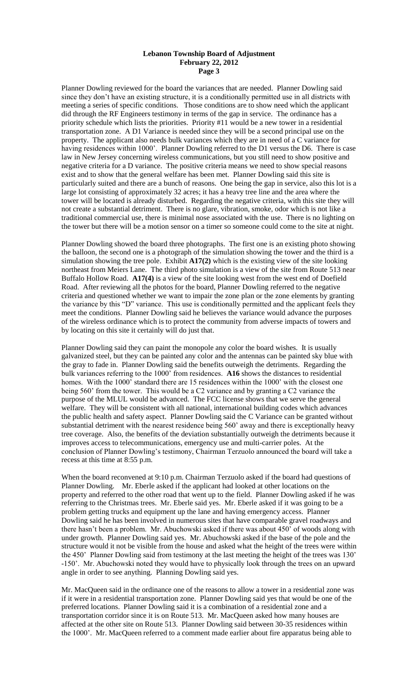#### **Lebanon Township Board of Adjustment February 22, 2012 Page 3**

Planner Dowling reviewed for the board the variances that are needed. Planner Dowling said since they don't have an existing structure, it is a conditionally permitted use in all districts with meeting a series of specific conditions. Those conditions are to show need which the applicant did through the RF Engineers testimony in terms of the gap in service. The ordinance has a priority schedule which lists the priorities. Priority #11 would be a new tower in a residential transportation zone. A D1 Variance is needed since they will be a second principal use on the property. The applicant also needs bulk variances which they are in need of a C variance for having residences within 1000'. Planner Dowling referred to the D1 versus the D6. There is case law in New Jersey concerning wireless communications, but you still need to show positive and negative criteria for a D variance. The positive criteria means we need to show special reasons exist and to show that the general welfare has been met. Planner Dowling said this site is particularly suited and there are a bunch of reasons. One being the gap in service, also this lot is a large lot consisting of approximately 32 acres; it has a heavy tree line and the area where the tower will be located is already disturbed. Regarding the negative criteria, with this site they will not create a substantial detriment. There is no glare, vibration, smoke, odor which is not like a traditional commercial use, there is minimal nose associated with the use. There is no lighting on the tower but there will be a motion sensor on a timer so someone could come to the site at night.

Planner Dowling showed the board three photographs. The first one is an existing photo showing the balloon, the second one is a photograph of the simulation showing the tower and the third is a simulation showing the tree pole. Exhibit **A17(2)** which is the existing view of the site looking northeast from Meiers Lane. The third photo simulation is a view of the site from Route 513 near Buffalo Hollow Road. **A17(4)** is a view of the site looking west from the west end of Doefield Road. After reviewing all the photos for the board, Planner Dowling referred to the negative criteria and questioned whether we want to impair the zone plan or the zone elements by granting the variance by this "D" variance. This use is conditionally permitted and the applicant feels they meet the conditions. Planner Dowling said he believes the variance would advance the purposes of the wireless ordinance which is to protect the community from adverse impacts of towers and by locating on this site it certainly will do just that.

Planner Dowling said they can paint the monopole any color the board wishes. It is usually galvanized steel, but they can be painted any color and the antennas can be painted sky blue with the gray to fade in. Planner Dowling said the benefits outweigh the detriments. Regarding the bulk variances referring to the 1000' from residences. **A16** shows the distances to residential homes. With the 1000' standard there are 15 residences within the 1000' with the closest one being 560' from the tower. This would be a C2 variance and by granting a C2 variance the purpose of the MLUL would be advanced. The FCC license shows that we serve the general welfare. They will be consistent with all national, international building codes which advances the public health and safety aspect. Planner Dowling said the C Variance can be granted without substantial detriment with the nearest residence being 560' away and there is exceptionally heavy tree coverage. Also, the benefits of the deviation substantially outweigh the detriments because it improves access to telecommunications, emergency use and multi-carrier poles. At the conclusion of Planner Dowling's testimony, Chairman Terzuolo announced the board will take a recess at this time at 8:55 p.m.

When the board reconvened at 9:10 p.m. Chairman Terzuolo asked if the board had questions of Planner Dowling. Mr. Eberle asked if the applicant had looked at other locations on the property and referred to the other road that went up to the field. Planner Dowling asked if he was referring to the Christmas trees. Mr. Eberle said yes. Mr. Eberle asked if it was going to be a problem getting trucks and equipment up the lane and having emergency access. Planner Dowling said he has been involved in numerous sites that have comparable gravel roadways and there hasn't been a problem. Mr. Abuchowski asked if there was about 450' of woods along with under growth. Planner Dowling said yes. Mr. Abuchowski asked if the base of the pole and the structure would it not be visible from the house and asked what the height of the trees were within the 450' Planner Dowling said from testimony at the last meeting the height of the trees was 130' -150'. Mr. Abuchowski noted they would have to physically look through the trees on an upward angle in order to see anything. Planning Dowling said yes.

Mr. MacQueen said in the ordinance one of the reasons to allow a tower in a residential zone was if it were in a residential transportation zone. Planner Dowling said yes that would be one of the preferred locations. Planner Dowling said it is a combination of a residential zone and a transportation corridor since it is on Route 513. Mr. MacQueen asked how many houses are affected at the other site on Route 513. Planner Dowling said between 30-35 residences within the 1000'. Mr. MacQueen referred to a comment made earlier about fire apparatus being able to